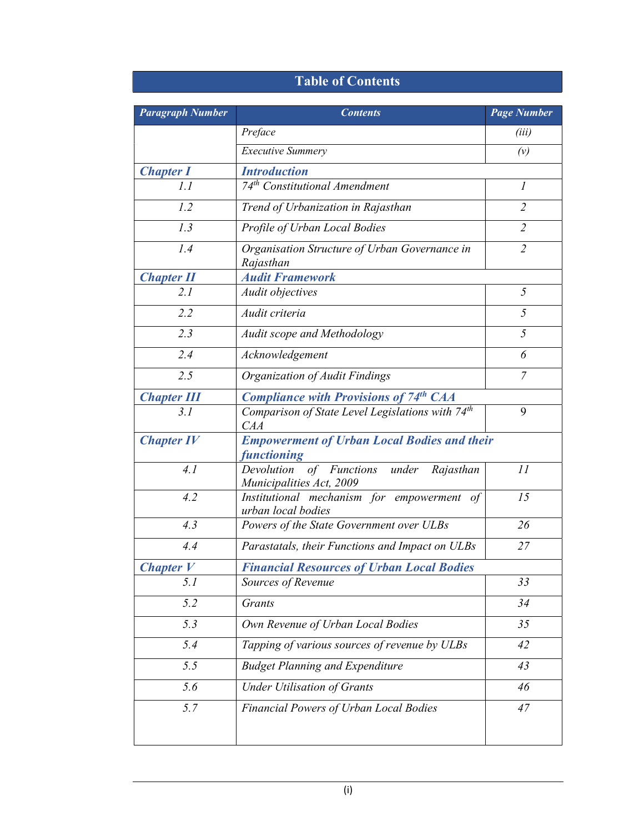## Table of Contents

| <b>Paragraph Number</b> | <b>Contents</b>                                                                 | <b>Page Number</b> |  |
|-------------------------|---------------------------------------------------------------------------------|--------------------|--|
|                         | Preface                                                                         | (iii)              |  |
|                         | <b>Executive Summery</b>                                                        | (v)                |  |
| <b>Chapter I</b>        | <b>Introduction</b>                                                             |                    |  |
| 1.1                     | 74 <sup>th</sup> Constitutional Amendment                                       | $\mathfrak l$      |  |
| 1.2                     | Trend of Urbanization in Rajasthan                                              | $\overline{2}$     |  |
| 1.3                     | Profile of Urban Local Bodies                                                   | $\overline{2}$     |  |
| 1.4                     | Organisation Structure of Urban Governance in<br>Rajasthan                      | $\overline{2}$     |  |
| <b>Chapter II</b>       | <b>Audit Framework</b>                                                          |                    |  |
| 2.1                     | Audit objectives                                                                | 5                  |  |
| 2.2                     | Audit criteria                                                                  | 5                  |  |
| 2.3                     | Audit scope and Methodology                                                     | 5                  |  |
| 2.4                     | Acknowledgement                                                                 | 6                  |  |
| 2.5                     | Organization of Audit Findings                                                  | 7                  |  |
| <b>Chapter III</b>      | <b>Compliance with Provisions of 74th CAA</b>                                   |                    |  |
| 3.1                     | Comparison of State Level Legislations with 74 <sup>th</sup><br>CAA             | 9                  |  |
| <b>Chapter IV</b>       | <b>Empowerment of Urban Local Bodies and their</b><br><i><b>functioning</b></i> |                    |  |
| 4.1                     | Devolution of Functions under Rajasthan<br>Municipalities Act, 2009             | 11                 |  |
| 4.2                     | Institutional mechanism for empowerment of<br>urban local bodies                | 15                 |  |
| 4.3                     | Powers of the State Government over ULBs                                        | 26                 |  |
| 4.4                     | Parastatals, their Functions and Impact on ULBs                                 | 27                 |  |
| <b>Chapter</b> $V$      | <b>Financial Resources of Urban Local Bodies</b>                                |                    |  |
| 5.1                     | Sources of Revenue                                                              | 33                 |  |
| 5.2                     | Grants                                                                          | 34                 |  |
| 5.3                     | Own Revenue of Urban Local Bodies                                               | 35                 |  |
| 5.4                     | Tapping of various sources of revenue by ULBs                                   | 42                 |  |
| 5.5                     | <b>Budget Planning and Expenditure</b>                                          | 43                 |  |
| 5.6                     | <b>Under Utilisation of Grants</b>                                              | 46                 |  |
| 5.7                     | Financial Powers of Urban Local Bodies                                          | 47                 |  |